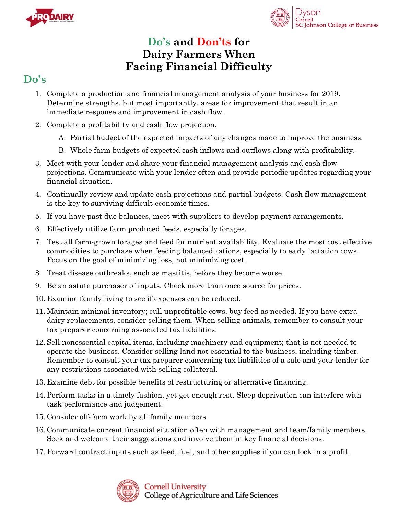



## **Do's and Don'ts for Dairy Farmers When Facing Financial Difficulty**

## **Do's**

- 1. Complete a production and financial management analysis of your business for 2019. Determine strengths, but most importantly, areas for improvement that result in an immediate response and improvement in cash flow.
- 2. Complete a profitability and cash flow projection.
	- A. Partial budget of the expected impacts of any changes made to improve the business.
	- B. Whole farm budgets of expected cash inflows and outflows along with profitability.
- 3. Meet with your lender and share your financial management analysis and cash flow projections. Communicate with your lender often and provide periodic updates regarding your financial situation.
- 4. Continually review and update cash projections and partial budgets. Cash flow management is the key to surviving difficult economic times.
- 5. If you have past due balances, meet with suppliers to develop payment arrangements.
- 6. Effectively utilize farm produced feeds, especially forages.
- 7. Test all farm-grown forages and feed for nutrient availability. Evaluate the most cost effective commodities to purchase when feeding balanced rations, especially to early lactation cows. Focus on the goal of minimizing loss, not minimizing cost.
- 8. Treat disease outbreaks, such as mastitis, before they become worse.
- 9. Be an astute purchaser of inputs. Check more than once source for prices.
- 10. Examine family living to see if expenses can be reduced.
- 11. Maintain minimal inventory; cull unprofitable cows, buy feed as needed. If you have extra dairy replacements, consider selling them. When selling animals, remember to consult your tax preparer concerning associated tax liabilities.
- 12. Sell nonessential capital items, including machinery and equipment; that is not needed to operate the business. Consider selling land not essential to the business, including timber. Remember to consult your tax preparer concerning tax liabilities of a sale and your lender for any restrictions associated with selling collateral.
- 13. Examine debt for possible benefits of restructuring or alternative financing.
- 14. Perform tasks in a timely fashion, yet get enough rest. Sleep deprivation can interfere with task performance and judgement.
- 15. Consider off-farm work by all family members.
- 16. Communicate current financial situation often with management and team/family members. Seek and welcome their suggestions and involve them in key financial decisions.
- 17. Forward contract inputs such as feed, fuel, and other supplies if you can lock in a profit.